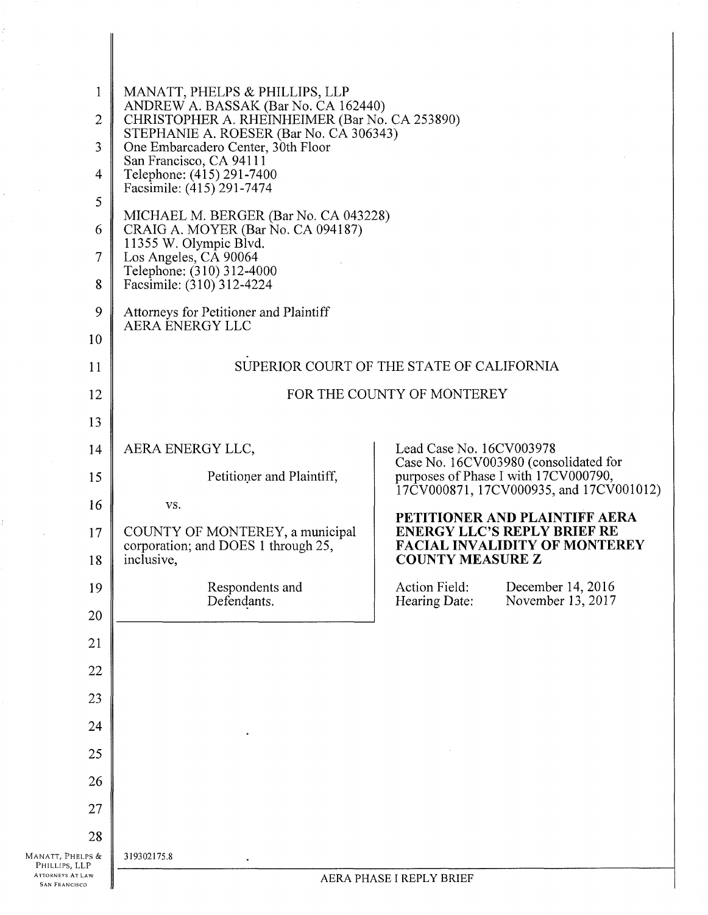| $\mathbf{1}$<br>$\overline{c}$<br>3<br>4<br>5<br>6<br>7<br>8 | MANATT, PHELPS & PHILLIPS, LLP<br>ANDREW A. BASSAK (Bar No. CA 162440)<br>CHRISTOPHER A. RHEINHEIMER (Bar No. CA 253890)<br>STEPHANIE A. ROESER (Bar No. CA 306343)<br>One Embarcadero Center, 30th Floor<br>San Francisco, CA 94111<br>Telephone: (415) 291-7400<br>Facsimile: (415) 291-7474<br>MICHAEL M. BERGER (Bar No. CA 043228)<br>CRAIG A. MOYER (Bar No. CA 094187)<br>11355 W. Olympic Blvd.<br>Los Angeles, CA 90064<br>Telephone: (310) 312-4000<br>Facsimile: (310) 312-4224 |                                                                                                       |
|--------------------------------------------------------------|--------------------------------------------------------------------------------------------------------------------------------------------------------------------------------------------------------------------------------------------------------------------------------------------------------------------------------------------------------------------------------------------------------------------------------------------------------------------------------------------|-------------------------------------------------------------------------------------------------------|
| 9<br>10                                                      | Attorneys for Petitioner and Plaintiff<br>AERA ENERGY LLC                                                                                                                                                                                                                                                                                                                                                                                                                                  |                                                                                                       |
| 11                                                           |                                                                                                                                                                                                                                                                                                                                                                                                                                                                                            | SUPERIOR COURT OF THE STATE OF CALIFORNIA                                                             |
| 12                                                           | FOR THE COUNTY OF MONTEREY                                                                                                                                                                                                                                                                                                                                                                                                                                                                 |                                                                                                       |
| 13                                                           |                                                                                                                                                                                                                                                                                                                                                                                                                                                                                            |                                                                                                       |
| 14                                                           | AERA ENERGY LLC,                                                                                                                                                                                                                                                                                                                                                                                                                                                                           | Lead Case No. 16CV003978<br>Case No. 16CV003980 (consolidated for                                     |
| 15                                                           | Petitioner and Plaintiff,                                                                                                                                                                                                                                                                                                                                                                                                                                                                  | purposes of Phase I with 17CV000790,<br>17CV000871, 17CV000935, and 17CV001012)                       |
| 16                                                           | VS.                                                                                                                                                                                                                                                                                                                                                                                                                                                                                        | PETITIONER AND PLAINTIFF AERA                                                                         |
| 17<br>18                                                     | COUNTY OF MONTEREY, a municipal<br>corporation; and DOES 1 through 25,<br>inclusive,                                                                                                                                                                                                                                                                                                                                                                                                       | <b>ENERGY LLC'S REPLY BRIEF RE</b><br><b>FACIAL INVALIDITY OF MONTEREY</b><br><b>COUNTY MEASURE Z</b> |
| 19                                                           | Respondents and                                                                                                                                                                                                                                                                                                                                                                                                                                                                            | Action Field: December 14, 2016                                                                       |
| 20                                                           | Defendants.                                                                                                                                                                                                                                                                                                                                                                                                                                                                                | November 13, 2017<br>Hearing Date:                                                                    |
| 21                                                           |                                                                                                                                                                                                                                                                                                                                                                                                                                                                                            |                                                                                                       |
| 22                                                           |                                                                                                                                                                                                                                                                                                                                                                                                                                                                                            |                                                                                                       |
| 23                                                           |                                                                                                                                                                                                                                                                                                                                                                                                                                                                                            |                                                                                                       |
| 24                                                           |                                                                                                                                                                                                                                                                                                                                                                                                                                                                                            |                                                                                                       |
| 25                                                           |                                                                                                                                                                                                                                                                                                                                                                                                                                                                                            |                                                                                                       |
| 26                                                           |                                                                                                                                                                                                                                                                                                                                                                                                                                                                                            |                                                                                                       |
| 27                                                           |                                                                                                                                                                                                                                                                                                                                                                                                                                                                                            |                                                                                                       |
| 28                                                           |                                                                                                                                                                                                                                                                                                                                                                                                                                                                                            |                                                                                                       |
| MANATT, PHELPS &<br>PHILLIPS, LLP<br><b>ATTORNEYS AT LAW</b> | 319302175.8                                                                                                                                                                                                                                                                                                                                                                                                                                                                                |                                                                                                       |
| <b>SAN FRANCISCO</b>                                         | AERA PHASE I REPLY BRIEF                                                                                                                                                                                                                                                                                                                                                                                                                                                                   |                                                                                                       |

Ť,

 $\frac{1}{\sqrt{2}}\left( \frac{1}{\sqrt{2}}\right) \left( \frac{1}{\sqrt{2}}\right) \left( \frac{1}{\sqrt{2}}\right)$ 

 $\frac{1}{2}$ 

 $\frac{1}{2}$  ,  $\frac{1}{2}$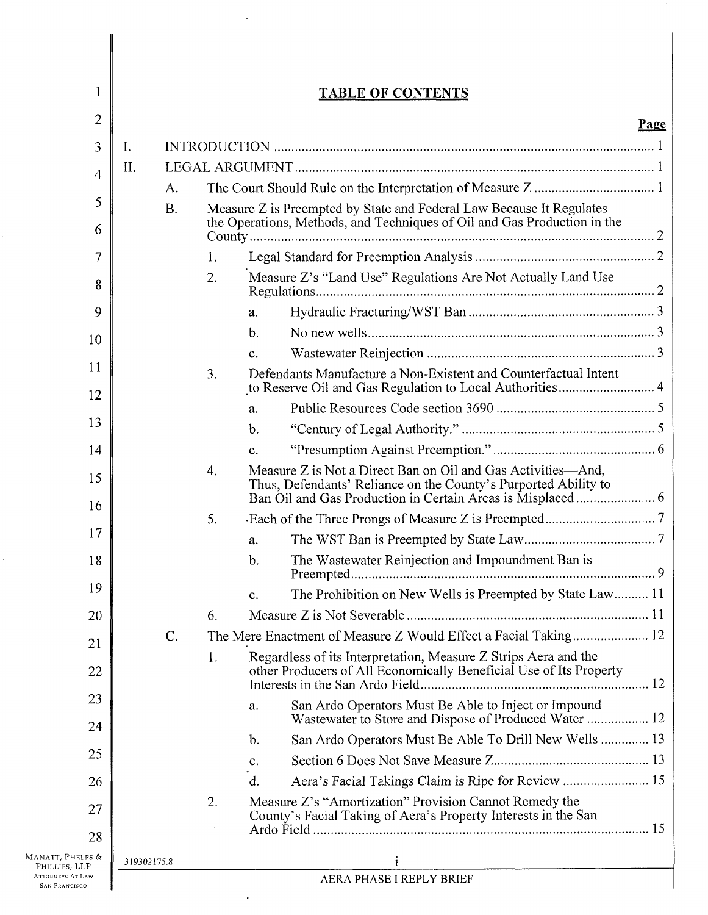| 1                                                                | <b>TABLE OF CONTENTS</b>                                                                                                                                      |  |
|------------------------------------------------------------------|---------------------------------------------------------------------------------------------------------------------------------------------------------------|--|
| 2                                                                | Page                                                                                                                                                          |  |
| 3                                                                | Ι.                                                                                                                                                            |  |
| 4                                                                | II.                                                                                                                                                           |  |
|                                                                  | Α.                                                                                                                                                            |  |
| 5<br>6                                                           | <b>B.</b><br>Measure Z is Preempted by State and Federal Law Because It Regulates<br>the Operations, Methods, and Techniques of Oil and Gas Production in the |  |
| 7                                                                | 1.                                                                                                                                                            |  |
| 8                                                                | Measure Z's "Land Use" Regulations Are Not Actually Land Use<br>2.                                                                                            |  |
| 9                                                                | a.                                                                                                                                                            |  |
|                                                                  | $\mathbf b$ .                                                                                                                                                 |  |
| 10                                                               | c.                                                                                                                                                            |  |
| 11<br>12                                                         | Defendants Manufacture a Non-Existent and Counterfactual Intent<br>3.                                                                                         |  |
|                                                                  | a.                                                                                                                                                            |  |
| 13                                                               | $\mathbf{b}$ .                                                                                                                                                |  |
| 14                                                               | C <sub>1</sub>                                                                                                                                                |  |
| 15                                                               | Measure Z is Not a Direct Ban on Oil and Gas Activities—And,<br>4.<br>Thus, Defendants' Reliance on the County's Purported Ability to                         |  |
| 16                                                               | 5.                                                                                                                                                            |  |
| 17                                                               | a.                                                                                                                                                            |  |
| 18                                                               | The Wastewater Reinjection and Impoundment Ban is<br>b.                                                                                                       |  |
| 19                                                               | The Prohibition on New Wells is Preempted by State Law 11<br>c.                                                                                               |  |
| 20                                                               | 6.                                                                                                                                                            |  |
| 21                                                               | The Mere Enactment of Measure Z Would Effect a Facial Taking 12<br>$\mathcal{C}$ .                                                                            |  |
| 22                                                               | Regardless of its Interpretation, Measure Z Strips Aera and the<br>1.<br>other Producers of All Economically Beneficial Use of Its Property                   |  |
| 23                                                               | San Ardo Operators Must Be Able to Inject or Impound<br>a.<br>Wastewater to Store and Dispose of Produced Water  12                                           |  |
| 24                                                               | San Ardo Operators Must Be Able To Drill New Wells  13<br>b.                                                                                                  |  |
| 25                                                               | c.                                                                                                                                                            |  |
| 26                                                               | Aera's Facial Takings Claim is Ripe for Review  15<br>d.                                                                                                      |  |
| 27<br>28                                                         | Measure Z's "Amortization" Provision Cannot Remedy the<br>2.<br>County's Facial Taking of Aera's Property Interests in the San                                |  |
| MANATT, PHELPS &                                                 |                                                                                                                                                               |  |
| PHILLIPS, LLP<br><b>ATTORNEYS AT LAW</b><br><b>SAN FRANCISCO</b> | 319302175.8<br><u> 1980 - John Stein, Amerikaansk politiker (* 1902)</u><br>AERA PHASE I REPLY BRIEF                                                          |  |

 $\ddot{\phantom{1}}$ 

 $\ddot{\phantom{0}}$ 

I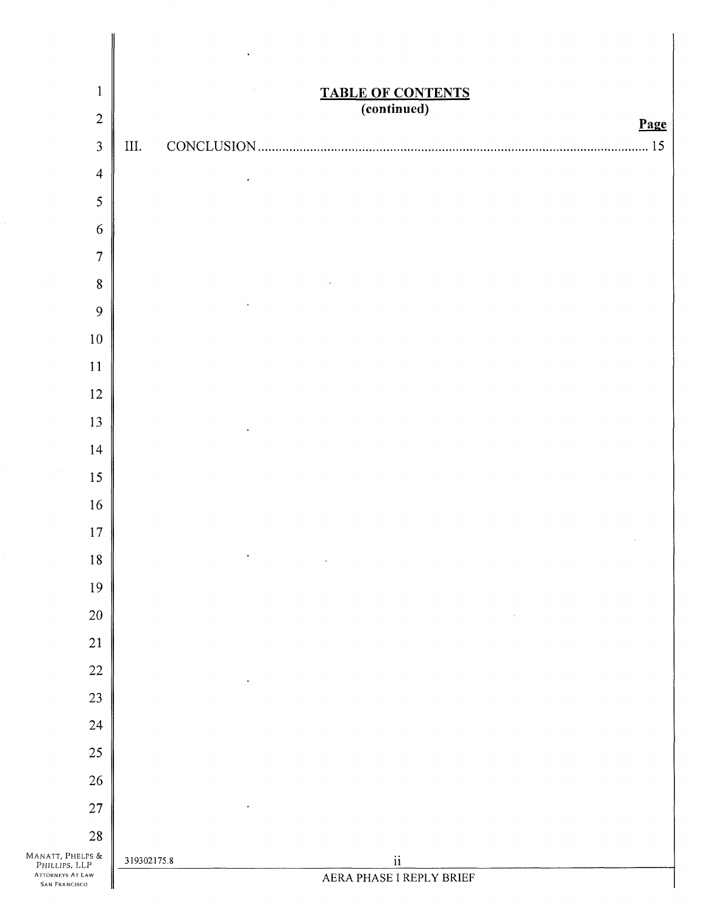| $\mathbf{1}$                                                                  | <b>TABLE OF CONTENTS</b><br>(continued)             |
|-------------------------------------------------------------------------------|-----------------------------------------------------|
| $\overline{2}$                                                                | Page<br>$\sim$                                      |
| 3                                                                             | III.<br>15                                          |
| $\overline{4}$                                                                |                                                     |
| 5                                                                             |                                                     |
| 6                                                                             |                                                     |
| $\overline{7}$                                                                |                                                     |
| $\bf 8$                                                                       |                                                     |
| 9                                                                             |                                                     |
| $10\,$                                                                        |                                                     |
| $11\,$                                                                        |                                                     |
| $12\,$                                                                        |                                                     |
| 13                                                                            |                                                     |
| 14                                                                            |                                                     |
| 15                                                                            |                                                     |
| 16                                                                            |                                                     |
| $17\,$                                                                        |                                                     |
| $1\,8$                                                                        | $\bullet$                                           |
| $19\,$                                                                        |                                                     |
| 20                                                                            |                                                     |
| 21                                                                            |                                                     |
| $22\,$                                                                        |                                                     |
| 23                                                                            |                                                     |
| 24                                                                            |                                                     |
| $25\,$                                                                        |                                                     |
| $26\,$                                                                        |                                                     |
| $27\,$                                                                        |                                                     |
| $28\,$                                                                        |                                                     |
| MANATT, PHELPS &<br>PHILLIPS, LLP<br><b>ATTORNEYS AT LAW</b><br>SAN FRANCISCO | $\rm ii$<br>319302175.8<br>AERA PHASE I REPLY BRIEF |

 $\ddot{\phantom{0}}$ 

 $\Big\}$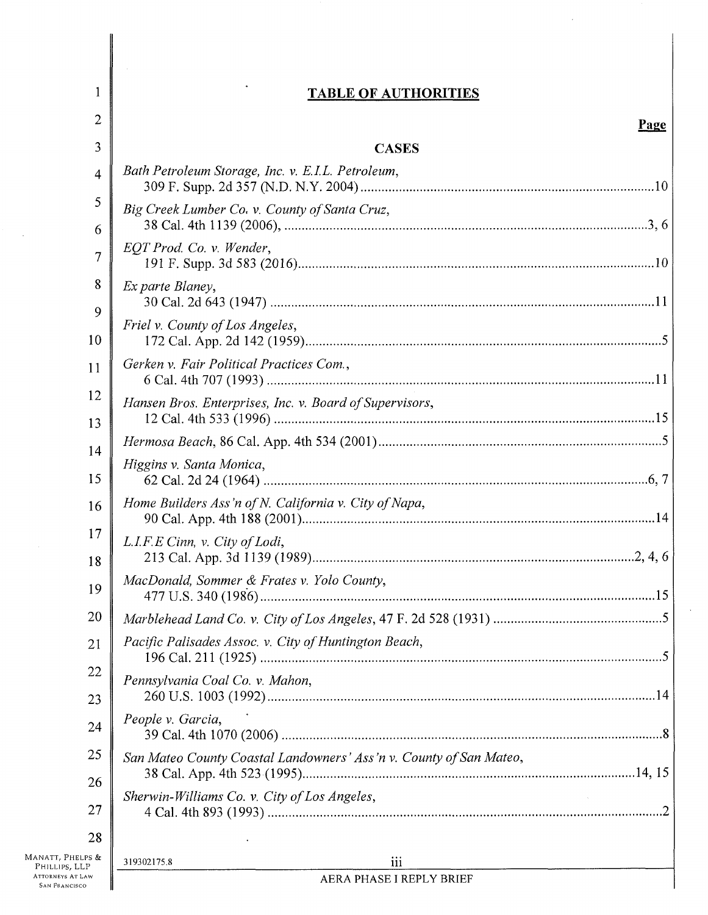# **TABLE OF AUTHORITIES**

 $\hat{\mathcal{L}}$ 

 $\ddot{\phantom{a}}$ 

1

 $\sim$   $\sim$ 

| $\overline{2}$                                  |                                                                    | Page |
|-------------------------------------------------|--------------------------------------------------------------------|------|
| 3                                               | <b>CASES</b>                                                       |      |
| 4                                               | Bath Petroleum Storage, Inc. v. E.I.L. Petroleum,                  |      |
| 5<br>6                                          | Big Creek Lumber Co. v. County of Santa Cruz,                      |      |
| $\overline{7}$                                  | EQT Prod. Co. v. Wender,                                           |      |
| 8                                               | Ex parte Blaney,                                                   |      |
| 9<br>10                                         | Friel v. County of Los Angeles,                                    |      |
| 11                                              | Gerken v. Fair Political Practices Com.,                           |      |
| 12                                              | Hansen Bros. Enterprises, Inc. v. Board of Supervisors,            |      |
| 13                                              |                                                                    |      |
| 14<br>15                                        | Higgins v. Santa Monica,                                           |      |
| 16                                              | Home Builders Ass'n of N. California v. City of Napa,              |      |
| 17<br>18                                        | L.I.F.E Cinn, v. City of Lodi,                                     |      |
| 19                                              | MacDonald, Sommer & Frates v. Yolo County,                         |      |
| 20                                              |                                                                    |      |
| 21                                              | Pacific Palisades Assoc. v. City of Huntington Beach,              |      |
| 22<br>23                                        | Pennsylvania Coal Co. v. Mahon,                                    |      |
| 24                                              | People v. Garcia,                                                  |      |
| 25                                              | San Mateo County Coastal Landowners' Ass'n v. County of San Mateo, |      |
| 26<br>27                                        | Sherwin-Williams Co. v. City of Los Angeles,                       |      |
| 28                                              |                                                                    |      |
| MANATT, PHELPS &<br>PHILLIPS, LLP               | iii<br>319302175.8                                                 |      |
| <b>ATTORNEYS AT LAW</b><br><b>SAN FRANCISCO</b> | AERA PHASE I REPLY BRIEF                                           |      |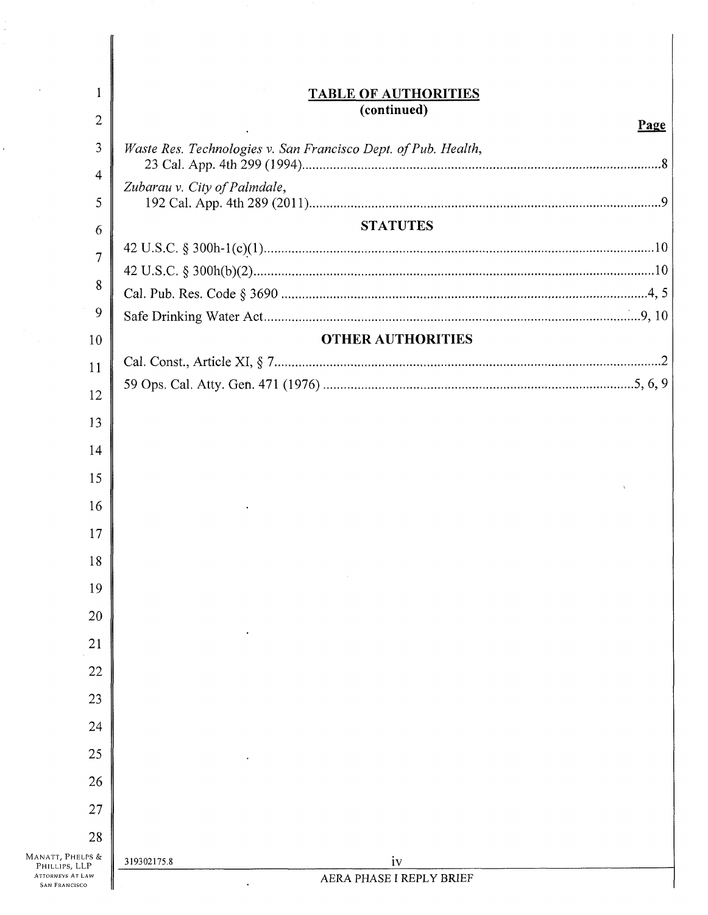| $\mathbf{1}$                                    | <b>TABLE OF AUTHORITIES</b>                                    |
|-------------------------------------------------|----------------------------------------------------------------|
| $\overline{2}$                                  | (continued)<br>Page                                            |
| 3                                               | Waste Res. Technologies v. San Francisco Dept. of Pub. Health, |
| $\overline{4}$                                  | Zubarau v. City of Palmdale,                                   |
| 5                                               |                                                                |
| 6                                               | <b>STATUTES</b>                                                |
| $\overline{7}$                                  |                                                                |
| 8                                               |                                                                |
| 9                                               |                                                                |
| 10                                              | <b>OTHER AUTHORITIES</b>                                       |
|                                                 |                                                                |
| 11                                              |                                                                |
| 12                                              |                                                                |
| 13                                              |                                                                |
| 14                                              |                                                                |
| 15                                              |                                                                |
| 16                                              |                                                                |
| 17                                              |                                                                |
| 18                                              |                                                                |
| 19                                              |                                                                |
|                                                 |                                                                |
| 20                                              |                                                                |
| 21                                              |                                                                |
| 22                                              |                                                                |
| 23                                              |                                                                |
| 24                                              |                                                                |
| 25                                              |                                                                |
| 26                                              |                                                                |
| 27                                              |                                                                |
| 28                                              |                                                                |
| MANATT, PHELPS &<br>PHILLIPS, LLP               | iv<br>319302175.8                                              |
| <b>ATTORNEYS AT LAW</b><br><b>SAN FRANCISCO</b> | AERA PHASE I REPLY BRIEF                                       |

Ĵ,

 $\hat{\boldsymbol{\theta}}$ 

ľ ║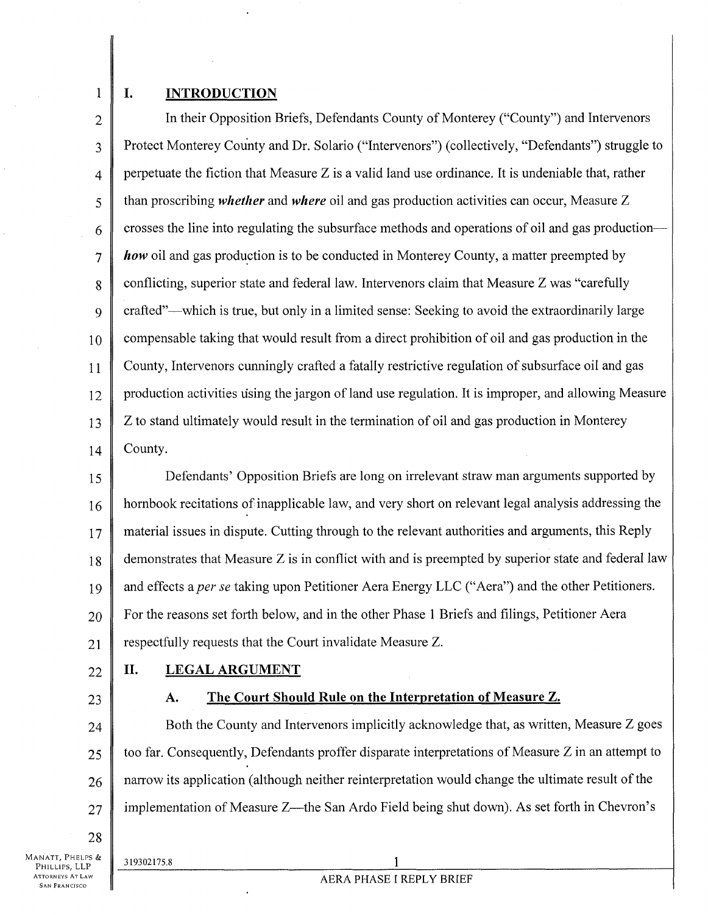1

### **I. INTRODUCTION**

2 3 4 5 6 7 8  $\mathbf Q$ 10 11 12 13 14 In their Opposition Briefs, Defendants County of Monterey ("County") and Intervenors Protect Monterey County and Dr. Solario ("Intervenors") (collectively, "Defendants") struggle to perpetuate the fiction that Measure Z is a valid land use ordinance. It is undeniable that, rather than proscribing *whether* and *where* oil and gas production activities can occur, Measure Z crosses the line into regulating the subsurface methods and operations of oil and gas production *how* oil and gas production is to be conducted in Monterey County, a matter preempted by conflicting, superior state and federal law. Intervenors claim that Measure Z was "carefully crafted"—which is true, but only in a limited sense: Seeking to avoid the extraordinarily large compensable taking that would result from a direct prohibition of oil and gas production in the County, Intervenors cunningly crafted a fatally restrictive regulation of subsurface oil and gas production activities using the jargon of land use regulation. It is improper, and allowing Measure Z to stand ultimately would result in the termination of oil and gas production in Monterey County.

15 16 17 18 19 20 21 Defendants' Opposition Briefs are long on irrelevant straw man arguments supported by hornbook recitations of inapplicable law, and very short on relevant legal analysis addressing the material issues in dispute. Cutting through to the relevant authorities and arguments, this Reply demonstrates that Measure Z is in conflict with and is preempted by superior state and federal law and effects a *per se* taking upon Petitioner Aera Energy LLC ("Aera") and the other Petitioners. For the reasons set forth below, and in the other Phase 1 Briefs and filings. Petitioner Aera respectfully requests that the Court invalidate Measure Z.

22

# **II. LEGAL ARGUMENT**

23

28

# **A. The Court Should Rule on the Interpretation of Measure Z.**

24 25 26 27 Both the County and Intervenors implicitly acknowledge that, as written, Measure Z goes too far. Consequently, Defendants proffer disparate interpretations of Measure Z in an attempt to narrow its application (although neither reinterpretation would change the ultimate result of the implementation of Measure Z—the San Ardo Field being shut down). As set forth in Chevron's

Manatt, Phelps &<br>Phillips, LLP **ATTORNEYS AT LAW** AN FRANCISCO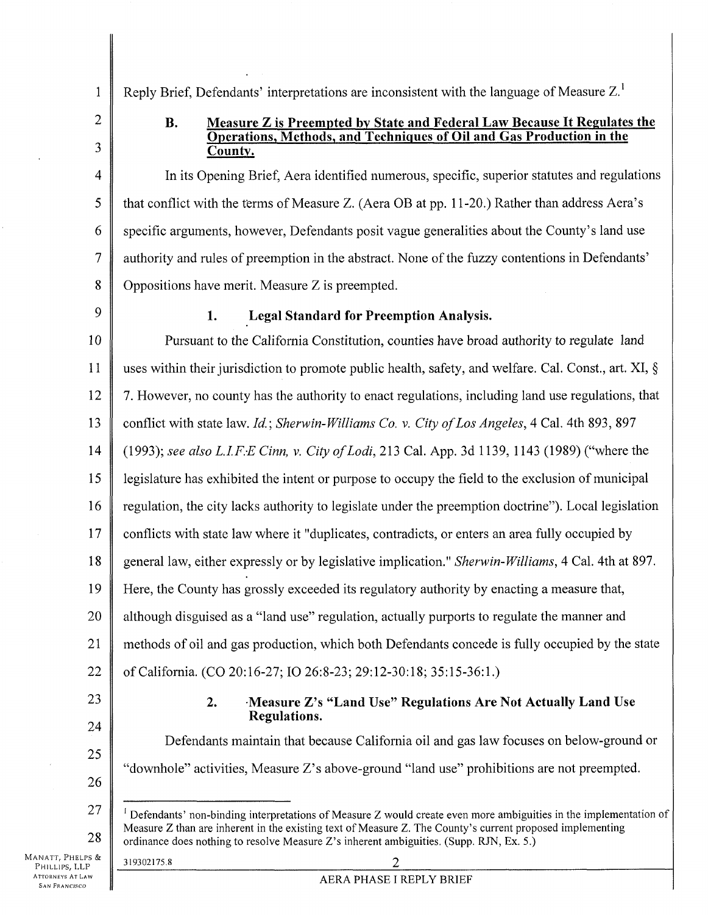Reply Brief, Defendants' interpretations are inconsistent with the language of Measure Z.<sup>1</sup>

2

3

5

1

# **B.** Measure Z is Preempted by State and Federal Law Because It Regulates the **Operations, Methods, and Techniques of Oil and Gas Production in the County.**

4 6 7 8 In its Opening Brief, Aera identified numerous, specific, superior statutes and regulations that conflict with the terms of Measure Z. (Aera OB at pp. 11-20.) Rather than address Aera's specific arguments, however, Defendants posit vague generalities about the County's land use authority and rules of preemption in the abstract. None of the fuzzy contentions in Defendants' Oppositions have merit. Measure Z is preempted.

9

# **1. Legal Standard for Preemption Analysis.**

10 11 12 13 14 15 16 17 18 19 20 21 22 Pursuant to the California Constitution, counties have broad authority to regulate land uses within their jurisdiction to promote public health, safety, and welfare. Cal. Const., art. XI, § 7. However, no county has the authority to enact regulations, including land use regulations, that conflict with state law. *Id.; Sherwin-Williams Co.* v. *City of Los Angeles,* 4 Cal. 4th 893, 897 (1993); *see also L.I.F.E Cinn, v. City of Lodi*, 213 Cal. App. 3d 1139, 1143 (1989) ("where the legislature has exhibited the intent or purpose to occupy the field to the exclusion of municipal regulation, the city lacks authority to legislate under the preemption doctrine"). Local legislation conflicts with state law where it "duplicates, contradicts, or enters an area fully occupied by general law, either expressly or by legislative implication." *Sherwin-Williams,* 4 Cal. 4th at 897. Here, the County has grossly exceeded its regulatory authority by enacting a measure that, although disguised as a "land use" regulation, actually purports to regulate the manner and methods of oil and gas production, which both Defendants concede is fully occupied by the state of California. (CO 20:16-27; 10 26:8-23; 29:12-30:18; 35:15-36:1.)

23

24

25

# **2. Measure Z's "Land Use" Regulations Are Not Actually Land Use Regulations.**

Defendants maintain that because California oil and gas law focuses on below-ground or "downhole" activities, Measure Z's above-ground "land use" prohibitions are not preempted.

- 26
- 27 28 <sup>1</sup> Defendants' non-binding interpretations of Measure Z would create even more ambiguities in the implementation of Measure Z than are inherent in the existing text of Measure Z. The County's current proposed implementing ordinance does nothing to resolve Measure Z's inherent ambiguities. (Supp. RJN, Ex. 5.)

MANATT, PHELPS & PHILLIPS, LLP ATTORNEYS AT LAW **SAN FRANCISCO**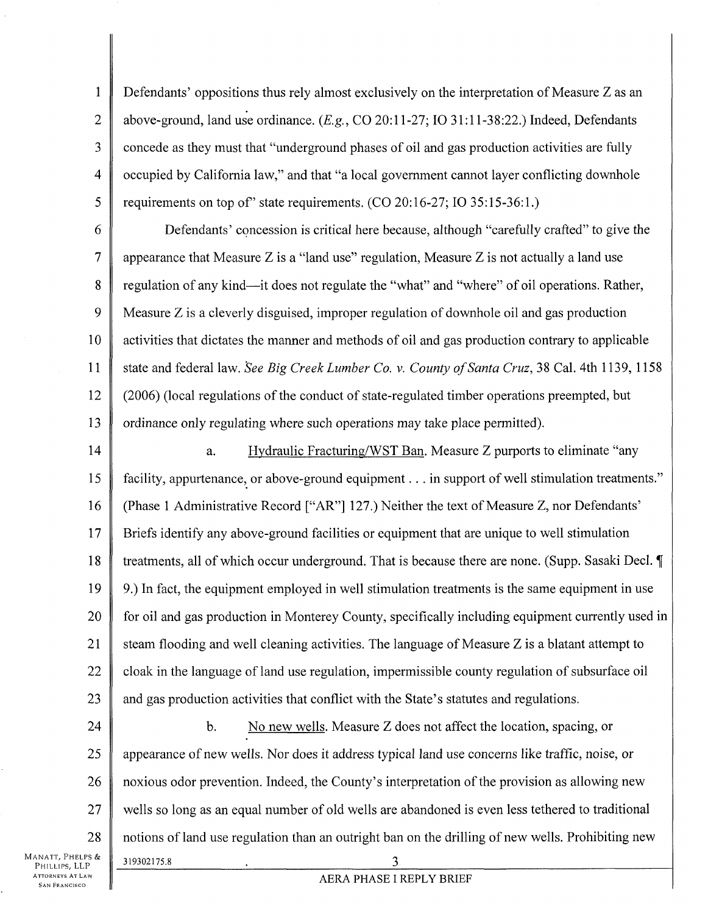**1**  2 3 4 5 Defendants' oppositions thus rely almost exclusively on the interpretation of Measure Z as an above-ground, land use ordinance. *{E.g.,* CO 20:11-27; 10 31:11-38:22.) Indeed, Defendants concede as they must that "underground phases of oil and gas production activities are fully occupied by California law," and that "a local government cannot layer conflicting downhole requirements on top of" state requirements.  $(CO 20:16-27; IO 35:15-36:1.)$ 

6 7 8 9 10 11 12 13 Defendants' concession is critical here because, although "carefully crafted" to give the appearance that Measure  $Z$  is a "land use" regulation, Measure  $Z$  is not actually a land use regulation of any kind—it does not regulate the "what" and "where" of oil operations. Rather, Measure Z is a cleverly disguised, improper regulation of downhole oil and gas production activities that dictates the manner and methods of oil and gas production contrary to applicable state and federal law. *See Big Creek Lumber Co.* v. *County of Santa Cruz,* 38 Cal. 4th 1139, 1158 (2006) (local regulations of the conduct of state-regulated timber operations preempted, but ordinance only regulating where such operations may take place permitted).

14 15 16 17 18 19 20 21 22 23 a. Hydraulic Fracturing/WST Ban. Measure Z purports to eliminate "any facility, appurtenance, or above-ground equipment... in support of well stimulation treatments." (Phase 1 Administrative Record ["AR"] 127.) Neither the text of Measure Z, nor Defendants' Briefs identify any above-ground facilities or equipment that are unique to well stimulation treatments, all of which occur underground. That is because there are none. (Supp. Sasaki Decl. 9.) In fact, the equipment employed in well stimulation treatments is the same equipment in use for oil and gas production in Monterey County, specifically including equipment currently used in steam flooding and well cleaning activities. The language of Measure Z is a blatant attempt to cloak in the language of land use regulation, impermissible county regulation of subsurface oil and gas production activities that conflict with the State's statutes and regulations.

24 25 26 27 28 b. No new wells. Measure Z does not affect the location, spacing, or appearance of new wells. Nor does it address typical land use concerns like traffic, noise, or noxious odor prevention. Indeed, the County's interpretation of the provision as allowing new wells so long as an equal number of old wells are abandoned is even less tethered to traditional notions of land use regulation than an outright ban on the drilling of new wells. Prohibiting new 319302175.8 3

AERA PHASE I REPLY BRIEF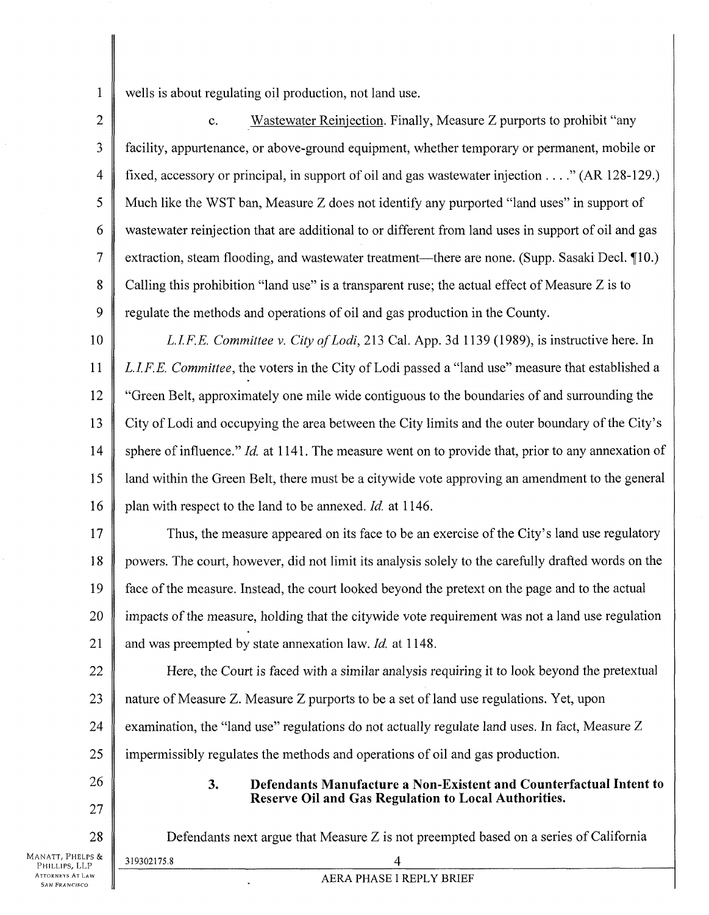1 wells is about regulating oil production, not land use.

2 3 4 5 6 7 8 9 c. Wastewater Reinjection. Finally, Measure Z purports to prohibit "any facility, appurtenance, or above-ground equipment, whether temporary or permanent, mobile or fixed, accessory or principal, in support of oil and gas wastewater injection . . . ." (AR 128-129.) Much like the WST ban, Measure Z does not identify any purported "land uses" in support of wastewater reinjection that are additional to or different from land uses in support of oil and gas extraction, steam flooding, and wastewater treatment—there are none. (Supp. Sasaki Decl. 110.) Calling this prohibition "land use" is a transparent ruse; the actual effect of Measure Z is to regulate the methods and operations of oil and gas production in the County.

10

11 12 13 14 15 16 *LI.F.E. Committee* v. *City ofLodi,* 213 Cak App. 3d 1139 (1989), is instructive here. In *L.I.F.E. Committee,* the voters in the City of Lodi passed a "land use" measure that established a "Green Belt, approximately one mile wide contiguous to the boundaries of and surrounding the City of Lodi and occupying the area between the City limits and the outer boundary of the City's sphere of influence." *Id.* at 1141. The measure went on to provide that, prior to any annexation of land within the Green Belt, there must be a citywide vote approving an amendment to the general plan with respect to the land to be annexed. *Id.* at 1146.

17 18 19 20 21 Thus, the measure appeared on its face to be an exercise of the City's land use regulatory powers. The court, however, did not limit its analysis solely to the carefully drafted words on the face of the measure. Instead, the court looked beyond the pretext on the page and to the actual impacts of the measure, holding that the citywide vote requirement was not a land use regulation and was preempted by state annexation law. *Id.* at 1148.

22 23 24 Here, the Court is faced with a similar analysis requiring it to look beyond the pretextual nature of Measure Z. Measure Z purports to be a set of land use regulations. Yet, upon examination, the "land use" regulations do not actually regulate land uses. In fact, Measure Z

25 impermissibly regulates the methods and operations of oil and gas production.

26

28

319302175.8 4

27

# **3. Defendants Manufacture a Non-Existent and Counterfactual Intent to Reserve Oil and Gas Regulation to Local Authorities.**

Defendants next argue that Measure Z is not preempted based on a series of California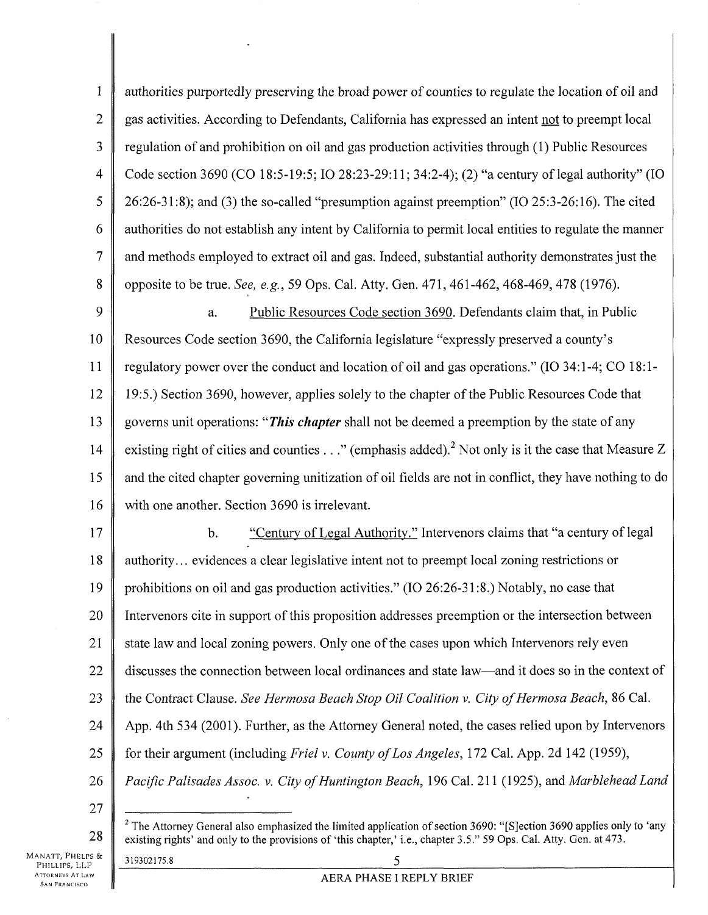1 2 3 4 5 6 7 8 authorities purportedly preserving the broad power of counties to regulate the location of oil and gas activities. According to Defendants, California has expressed an intent not to preempt local regulation of and prohibition on oil and gas production activities through (1) Public Resources Code section 3690 (CO 18:5-19:5; 10 28:23-29:11; 34:2-4); (2) "a century of legal authority" (10 26:26-31:8); and (3) the so-called "presumption against preemption" (10 25:3-26:16). The cited authorities do not establish any intent by California to permit local entities to regulate the manner and methods employed to extract oil and gas. Indeed, substantial authority demonstrates just the opposite to be true. *See, e.g.,* 59 Ops. Cal. Atty. Gen. 471, 461-462, 468-469, 478 (1976).

9 10 11 12 13 14 15 16 a. Public Resources Code section 3690. Defendants claim that, in Public Resources Code section 3690, the California legislature "expressly preserved a county's regulatory power over the conduct and location of oil and gas operations." (10 34:1-4; CO 18:1 19:5.) Section 3690, however, applies solely to the chapter of the Public Resources Code that governs unit operations: *"This chapter* shall not be deemed a preemption by the state of any existing right of cities and counties . . ." (emphasis added).<sup>2</sup> Not only is it the case that Measure Z and the cited chapter governing unitization of oil fields are not in conflict, they have nothing to do with one another. Section 3690 is irrelevant.

17 18 19 20 21 22 23 24 25 26 b. "Century of Legal Authority." Intervenors claims that "a century of legal authority... evidences a clear legislative intent not to preempt local zoning restrictions or prohibitions on oil and gas production activities." (10 26:26-31:8.) Notably, no case that Intervenors cite in support of this proposition addresses preemption or the intersection between state law and local zoning powers. Only one of the cases upon which Intervenors rely even discusses the connection between local ordinances and state law—and it does so in the context of the Contract Clause. *See Hermosa Beach Stop Oil Coalition v. City of Hermosa Beach,* 86 Cal. App. 4th 534 (2001). Further, as the Attorney General noted, the cases relied upon by Intervenors for their argument (including *Friel* v. *County of Los Angeles,* 172 Cal. App. 2d 142 (1959), *Pacific Palisades Assoc. v. City of Huntington Beach,* 196 Cal. 211 (1925), and *Marblehead Land* 

27

28

 $2$  The Attorney General also emphasized the limited application of section 3690: "[S]ection 3690 applies only to 'any existing rights' and only to the provisions of 'this chapter,' i.e., chapter 3.5." 59 Ops. Cal. Atty. Gen. at 473.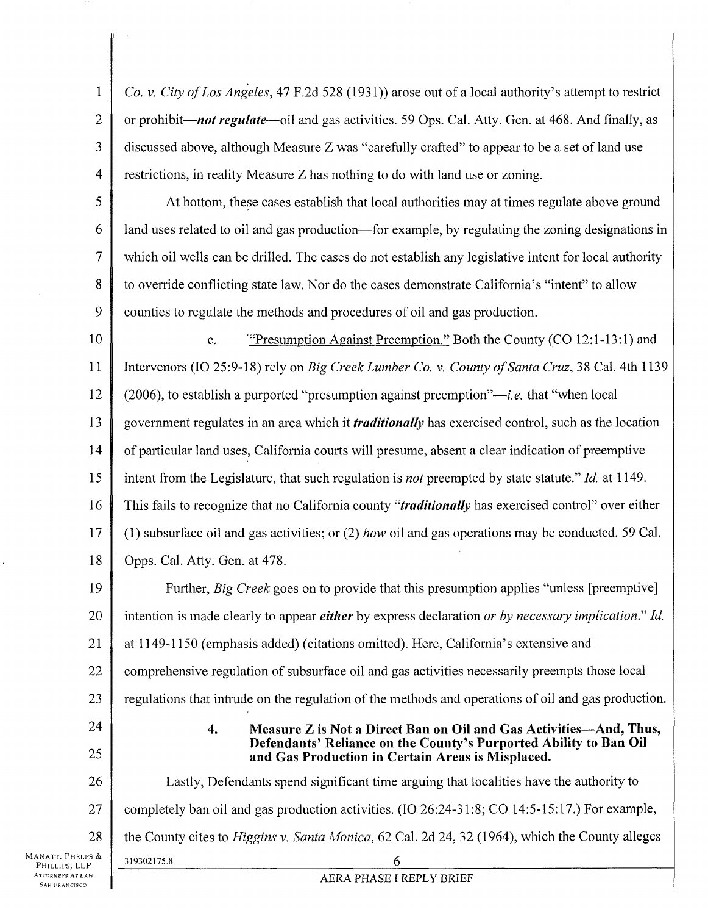1 2 3 4 *Co.* v. *City of Los Angeles,* 47 F.2d 528 (1931)) arose out of a local authority's attempt to restrict or prohibit—*not regulate*—oil and gas activities. 59 Ops. Cal. Atty. Gen. at 468. And finally, as discussed above, although Measure Z was "carefully crafted" to appear to be a set of land use restrictions, in reality Measure Z has nothing to do with land use or zoning.

5 6 7 8 9 At bottom, these cases establish that local authorities may at times regulate above ground land uses related to oil and gas production—for example, by regulating the zoning designations in which oil wells can be drilled. The cases do not establish any legislative intent for local authority to override conflicting state law. Nor do the cases demonstrate California's "intent" to allow counties to regulate the methods and procedures of oil and gas production.

10 11 12 13 14 15 16 17 18 c. '"Presumption Against Preemption." Both the County (CO 12:1-13:1) and Interveners (10 25:9-l 8) rely on *Big Creek Lumber Co.* v. *County of Santa Cruz,* 38 Cal. 4th 1139 (2006), to establish a purported "presumption against preemption"—*i.e.* that "when local government regulates in an area which it *traditionally* has exercised control, such as the location of particular land uses, California courts will presume, absent a clear indication of preemptive intent from the Legislature, that such regulation is *not* preempted by state statute." *Id.* at 1149. This fails to recognize that no California county "*traditionally* has exercised control" over either (1) subsurface oil and gas activities; or (2) *how* oil and gas operations may be conducted. 59 Cal. Opps. Cal. Atty. Gen. at 478.

19 20 21 22 Further, *Big Creek* goes on to provide that this presumption applies "unless [preemptive] intention is made clearly to appear *either* by express declaration *or by necessary implication." Id.*  at 1149-1150 (emphasis added) (citations omitted). Here, California's extensive and comprehensive regulation of subsurface oil and gas activities necessarily preempts those local

23 regulations that intrude on the regulation of the methods and operations of oil and gas production.

24 25

**4. Measure Z is Not a Direct Ban on Oil and Gas Activities—And, Thus, Defendants' Reliance on the County's Purported Ability to Ban Oil and Gas Production in Certain Areas is Misplaced.** 

26 27 28 Manatt, Phelps & Lastly, Defendants spend significant time arguing that localities have the authority to completely ban oil and gas production activities. (10 26:24-31:8; CO 14:5-15:17.) For example, the County cites to *Higgins* v. *Santa Monica,* 62 Cal. 2d 24, 32 (1964), which the County alleges 319302175.8 6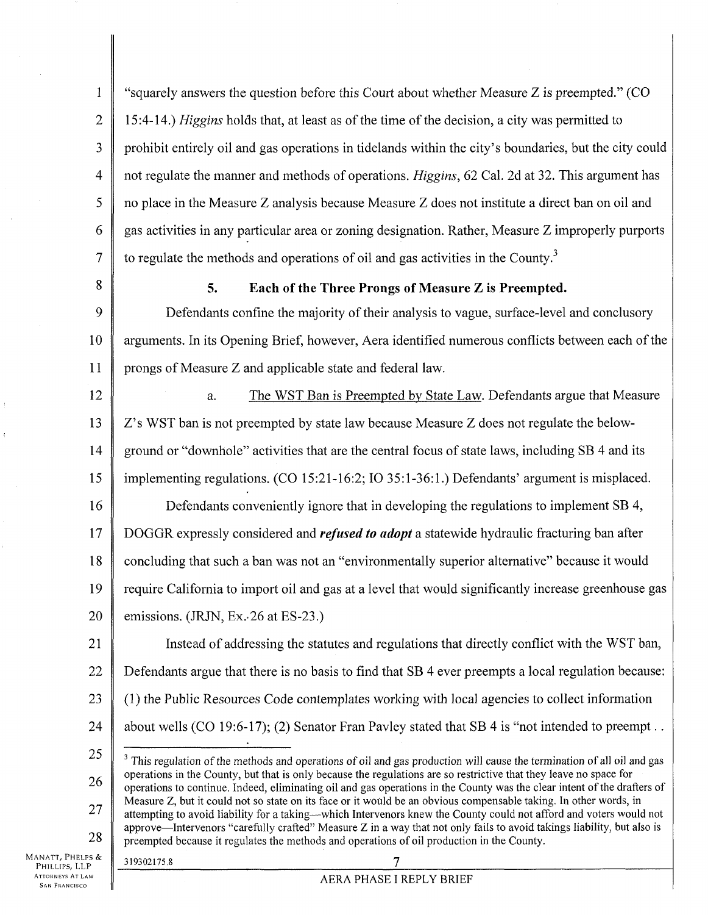1 2 3 4 5 6 7 "squarely answers the question before this Court about whether Measure Z is preempted." (CO 15:4-14.) *Higgins* holds that, at least as of the time of the decision, a city was permitted to prohibit entirely oil and gas operations in tidelands within the city's boundaries, but the city could not regulate the manner and methods of operations. *Higgins*, 62 Cal. 2d at 32. This argument has no place in the Measure Z analysis because Measure Z does not institute a direct ban on oil and gas activities in any particular area or zoning designation. Rather, Measure Z improperly purports to regulate the methods and operations of oil and gas activities in the County.<sup>3</sup>

8

### **5. Each of the Three Prongs of Measure Z is Preempted.**

9 10 11 Defendants confine the majority of their analysis to vague, surface-level and conclusory arguments. In its Opening Brief, however, Aera identified numerous conflicts between each of the prongs of Measure Z and applicable state and federal law.

12 13 14 15 16 17 18 19 20 a. The WST Ban is Preempted by State Law. Defendants argue that Measure Z's WST ban is not preempted by state law because Measure Z does not regulate the belowground or "downhole" activities that are the central focus of state laws, including SB 4 and its implementing regulations. (CO 15:21-16:2; 10 35:1-36:1.) Defendants' argument is misplaced. Defendants conveniently ignore that in developing the regulations to implement SB 4, DOGGR expressly considered and *refused to adopt* a statewide hydraulic fracturing ban after concluding that such a ban was not an "environmentally superior alternative" because it would require California to import oil and gas at a level that would significantly increase greenhouse gas emissions. (JRJN, Ex.-26 at ES-23.)

21 22 23 24 Instead of addressing the statutes and regulations that directly conflict with the WST ban, Defendants argue that there is no basis to find that SB 4 ever preempts a local regulation because: (1) the Public Resources Code contemplates working with local agencies to collect information about wells (CO 19:6-17); (2) Senator Fran Pavley stated that SB 4 is "not intended to preempt..

MANATT, PHELPS &<br>PHILLIPS, LLP **ATTORNEYS AT LAW SAN FRANCISCO** 

<sup>25</sup>  26 27 28 <sup>3</sup> This regulation of the methods and operations of oil and gas production will cause the termination of all oil and gas operations in the County, but that is only because the regulations are so restrictive that they leave no space for operations to continue. Indeed, eliminating oil and gas operations in the County was the clear intent of the drafters of Measure Z, but it could not so state on its face or it would be an obvious compensable taking. In other words, in attempting to avoid liability for a taking—which Interveners knew the County could not afford and voters would not approve—Intervenors "carefully crafted" Measure  $Z$  in a way that not only fails to avoid takings liability, but also is preempted because it regulates the methods and operations of oil production in the County.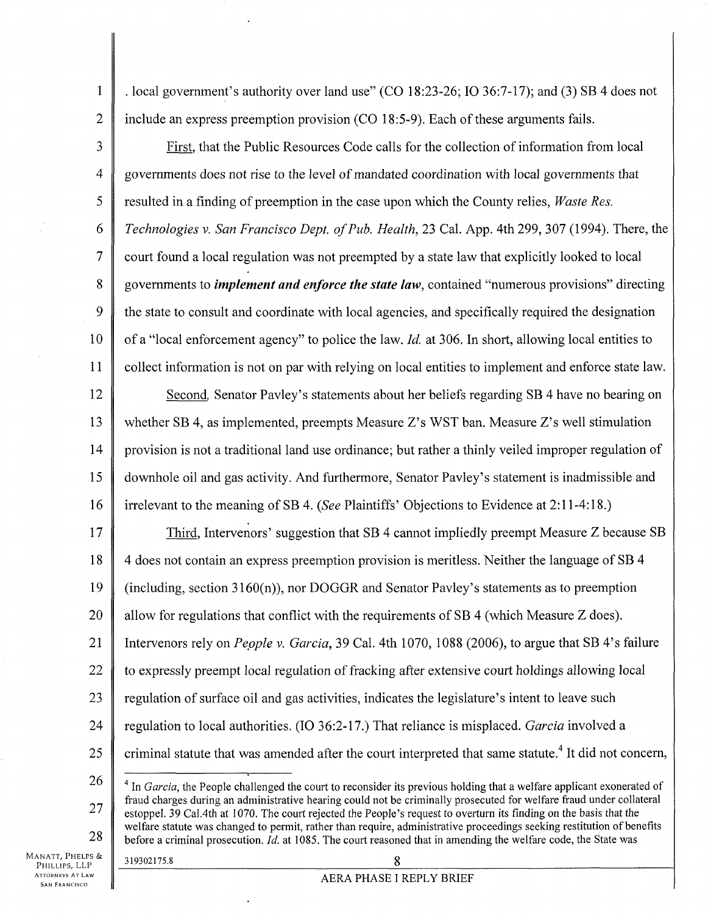. local government's authority over land use" (CO 18:23-26; 10 36:7-17); and (3) SB 4 does not include an express preemption provision (CO 18:5-9). Each of these arguments fails.

3 4 5 6 7 8 9 10 11 First, that the Public Resources Code calls for the collection of information from local governments does not rise to the level of mandated coordination with local governments that resulted in a finding of preemption in the case upon which the County relies, *Waste Res. Technologies v. San Francisco Dept. of Pub. Health,* 23 Cal. App. 4th 299, 307 (1994). There, the court found a local regulation was not preempted by a state law that explicitly looked to local governments to *implement and enforce the state law,* contained "numerous provisions" directing the state to consult and coordinate with local agencies, and specifically required the designation of a "local enforcement agency" to police the law. *Id.* at 306. In short, allowing local entities to collect information is not on par with relying on local entities to implement and enforce state law.

12 13 14 15 16 Second, Senator Pavley's statements about her beliefs regarding SB 4 have no bearing on whether SB 4, as implemented, preempts Measure Z's WST ban. Measure Z's well stimulation provision is not a traditional land use ordinance; but rather a thinly veiled improper regulation of downhole oil and gas activity. And furthermore, Senator Pavley's statement is inadmissible and irrelevant to the meaning of SB 4. *{See* Plaintiffs' Objections to Evidence at 2:11-4:18.)

17 18 19 20 21 22 23 24 25 Third, Intervenors' suggestion that SB 4 cannot impliedly preempt Measure Z because SB 4 does not contain an express preemption provision is meritless. Neither the language of SB 4 (including, section  $3160(n)$ ), nor DOGGR and Senator Pavley's statements as to preemption allow for regulations that conflict with the requirements of SB 4 (which Measure Z does). Intervenors rely on *People v. Garcia,* 39 Cal. 4th 1070, 1088 (2006), to argue that SB 4's failure to expressly preempt local regulation of fracking after extensive court holdings allowing local regulation of surface oil and gas activities, indicates the legislature's intent to leave such regulation to local authorities. (10 36:2-17.) That reliance is misplaced. *Garcia* involved a criminal statute that was amended after the court interpreted that same statute.<sup>4</sup> It did not concern,

26

**1** 

2

27 28 <sup>4</sup> In *Garcia*, the People challenged the court to reconsider its previous holding that a welfare applicant exonerated of fraud charges during an administrative hearing could not be criminally prosecuted for welfare fraud under collateral estoppel. 39 Cal.4th at 1070. The court rejected the People's request to overturn its finding on the basis that the welfare statute was changed to permit, rather than require, administrative proceedings seeking restitution of benefits before a criminal prosecution. *Id.* at 1085. The court reasoned that in amending the welfare code, the State was

MANATT, PHELPS & PHILLIPS, LLP **ATTORNEYS AT LAW SAN FRANCISCO**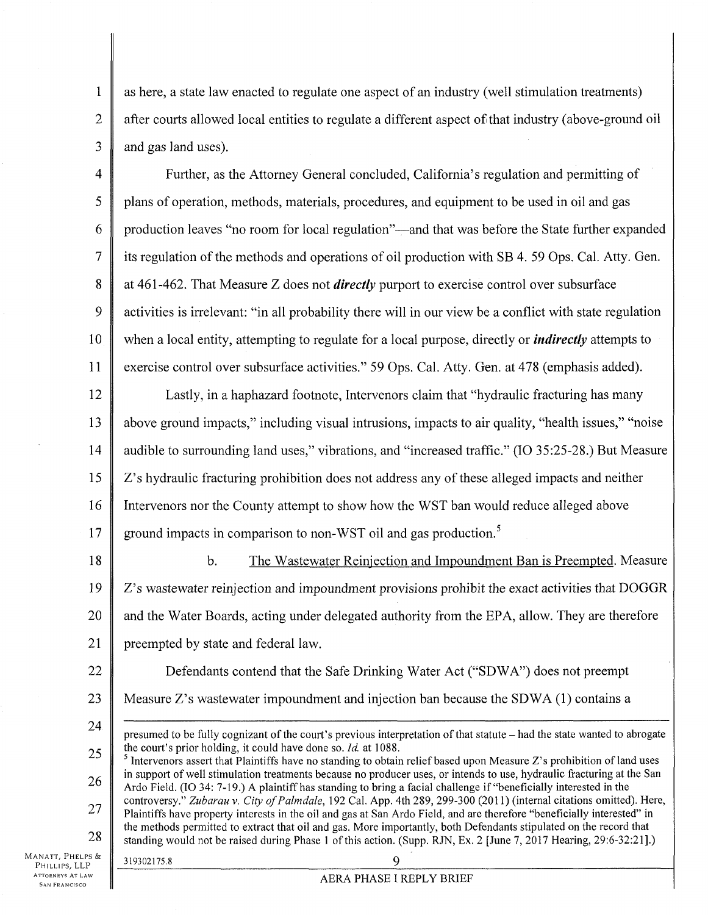**1**  2 3 as here, a state law enacted to regulate one aspect of an industry (well stimulation treatments) after courts allowed local entities to regulate a different aspect of that industry (above-ground oil and gas land uses).

4 5 6 7 8 9 10 11 Further, as the Attorney General concluded, California's regulation and permitting of plans of operation, methods, materials, procedures, and equipment to be used in oil and gas production leaves "no room for local regulation"—and that was before the State further expanded its regulation of the methods and operations of oil production with SB 4. 59 Ops. Cal. Atty. Gen. at 461-462. That Measure Z does not *directly* purport to exercise control over subsurface activities is irrelevant: "in all probability there will in our view be a conflict with state regulation when a local entity, attempting to regulate for a local purpose, directly or *indirectly* attempts to exercise control over subsurface activities." 59 Ops. Cal. Atty. Gen. at 478 (emphasis added).

12 13 14 15 16 17 Lastly, in a haphazard footnote, Intervenors claim that "hydraulic fracturing has many above ground impacts," including visual intrusions, impacts to air quality, "health issues," "noise audible to surrounding land uses," vibrations, and "increased traffic." (10 35:25-28.) But Measure Z's hydraulic fracturing prohibition does not address any of these alleged impacts and neither Interveners nor the County attempt to show how the WST ban would reduce alleged above ground impacts in comparison to non-WST oil and gas production.<sup>5</sup>

18 19 20 21 b. The Wastewater Reiniection and Impoundment Ban is Preempted. Measure Z's wastewater reinjection and impoundment provisions prohibit the exact activities that DOGGR and the Water Boards, acting under delegated authority from the EPA, allow. They are therefore preempted by state and federal law.

22 23 Defendants contend that the Safe Drinking Water Act ("SDWA") does not preempt Measure Z's wastewater impoundment and injection ban because the SDWA (1) contains a

24 25 presumed to be fully cognizant of the court's previous interpretation of that statute - had the state wanted to abrogate the court's prior holding, it could have done so. *Id.* at 1088.

26 27 28  $\frac{1}{5}$  Intervenors assert that Plaintiffs have no standing to obtain relief based upon Measure Z's prohibition of land uses in support of well stimulation treatments because no producer uses, or intends to use, hydraulic fracturing at the San Ardo Field. (10 34: 7-19.) A plaintiff has standing to bring a facial challenge if "beneficially interested in the controversy." *Zubarau* v. *City of Palmdale,* 192 Cal. App. 4th 289, 299-300 (2011) (internal citations omitted). Here, Plaintiffs have property interests in the oil and gas at San Ardo Field, and are therefore "beneficially interested" in the methods permitted to extract that oil and gas. More importantly, both Defendants stipulated on the record that standing would not be raised during Phase 1 of this action. (Supp. RJN, Ex. 2 [June 7, 2017 Hearing, 29:6-32:21].)

MANATT, PHELPS & PHILLIPS, LLP **ATTORNEYS AT LAW SAN FRANCISCO**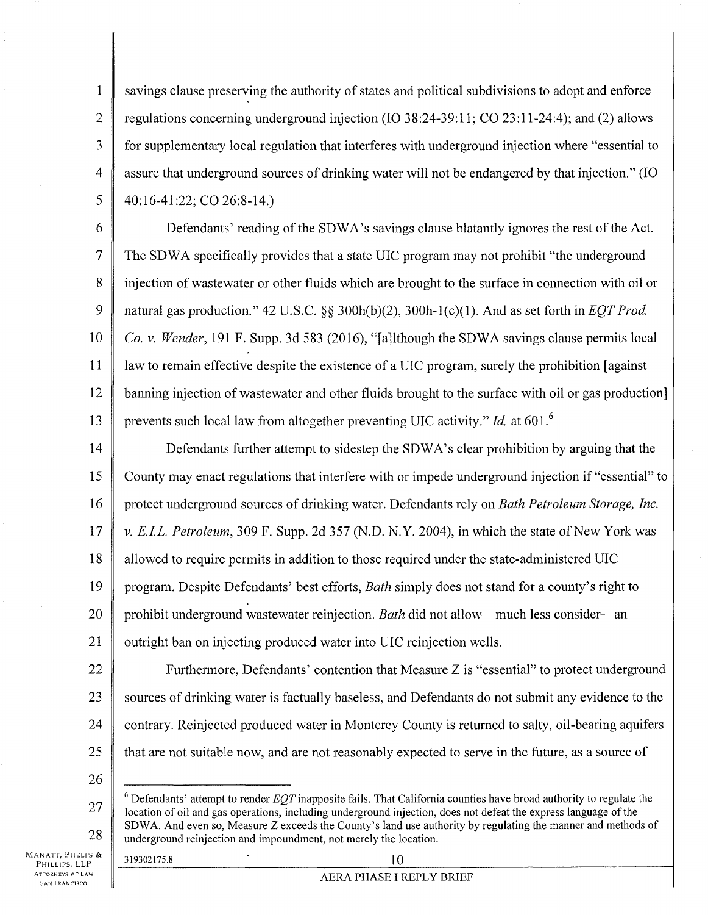**1**  2 3 4 5 savings clause preserving the authority of states and political subdivisions to adopt and enforce regulations concerning underground injection (10 38:24-39:11; CO 23:11-24:4); and (2) allows for supplementary local regulation that interferes with underground injection where "essential to assure that underground sources of drinking water will not be endangered by that injection." (10 40:16-41:22; CO 26:8-14.)

6 7 8 9 10 11 12 13 Defendants' reading of the SDWA's savings clause blatantly ignores the rest of the Act. The SDWA specifically provides that a state UIC program may not prohibit "the underground injection of wastewater or other fluids which are brought to the surface in connection with oil or natural gas production." 42 U.S.C. §§ 300h(b)(2), 300h-1(c)(1). And as set forth in *EQT Prod. Co.* v. *Wender,* 191 F. Supp. 3d 583 (2016), "[a]lthough the SDWA savings clause permits local law to remain effective despite the existence of a UIC program, surely the prohibition [against banning injection of wastewater and other fluids brought to the surface with oil or gas production] prevents such local law from altogether preventing UIC activity." *Id.* at 601.<sup>6</sup>

14 15 16 17 18 19 20 21 Defendants further attempt to sidestep the SDWA's clear prohibition by arguing that the County may enact regulations that interfere with or impede underground injection if "essential" to protect underground sources of drinking water. Defendants rely on *Bath Petroleum Storage, Inc. v. E.I.L. Petroleum,* 309 F. Supp. 2d 357 (N.D. N.Y. 2004), in which the state of New York was allowed to require permits in addition to those required under the state-administered UIC program. Despite Defendants' best efforts, *Bath* simply does not stand for a county's right to prohibit underground wastewater reinjection. *Bath* did not allow—much less consider—an outright ban on injecting produced water into UIC reinjection wells.

- 22 23 24 25 Furthermore, Defendants' contention that Measure Z is "essential" to protect underground sources of drinking water is factually baseless, and Defendants do not submit any evidence to the contrary. Reinjected produced water in Monterey County is returned to salty, oil-bearing aquifers that are not suitable now, and are not reasonably expected to serve in the future, as a source of
- 26

# 319302175.8 ' 10

<sup>27</sup>  28  $6$  Defendants' attempt to render  $EQT$  inapposite fails. That California counties have broad authority to regulate the location of oil and gas operations, including underground injection, does not defeat the express language of the SDWA. And even so, Measure Z exceeds the County's land use authority by regulating the manner and methods of underground reinjection and impoundment, not merely the location.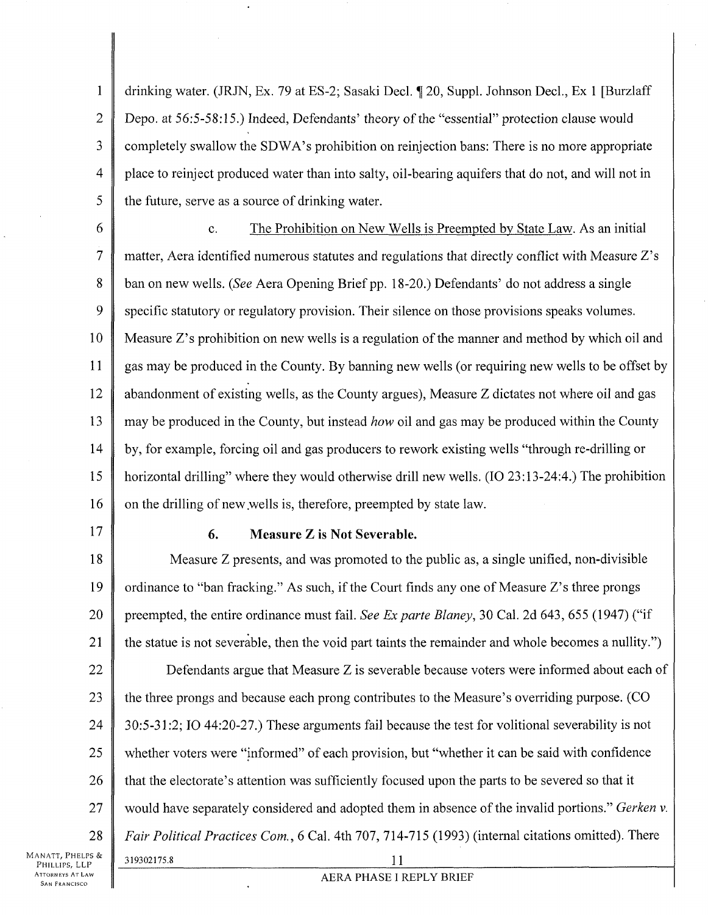1 2 3 4 5 drinking water. (JRJN, Ex. 79 at ES-2; Sasaki Decl. ¶ 20, Suppl. Johnson Decl., Ex 1 [Burzlaff] Depo. at 56:5-58:15.) Indeed, Defendants' theory of the "essential" protection clause would completely swallow the SDWA's prohibition on reinjection bans: There is no more appropriate place to reinject produced water than into salty, oil-bearing aquifers that do not, and will not in the future, serve as a source of drinking water.

6 7 8 9 10 11 12 13 14 15 16 c. The Prohibition on New Wells is Preempted by State Law. As an initial matter, Aera identified numerous statutes and regulations that directly conflict with Measure Z's ban on new wells. (*See* Aera Opening Brief pp. 18-20.) Defendants' do not address a single specific statutory or regulatory provision. Their silence on those provisions speaks volumes. Measure Z's prohibition on new wells is a regulation of the manner and method by which oil and gas may be produced in the County. By banning new wells (or requiring new wells to be offset by abandonment of existing wells, as the County argues), Measure Z dictates not where oil and gas may be produced in the County, but instead *how* oil and gas may be produced within the County by, for example, forcing oil and gas producers to rework existing wells "through re-drilling or horizontal drilling" where they would otherwise drill new wells. (10 23:13-24:4.) The prohibition on the drilling of new .wells is, therefore, preempted by state law.

17

### **6. Measure Z is Not Severable.**

18 19 20 21 22 23 24 25 26 27 28 Manatt, Phelps & Measure Z presents, and was promoted to the public as, a single unified, non-divisible ordinance to "ban fracking." As such, if the Court finds any one of Measure Z's three prongs preempted, the entire ordinance must fail. *See Ex parte Blaney,* 30 Cal. 2d 643, 655 (1947) ("if the statue is not severable, then the void part taints the remainder and whole becomes a nullity.") Defendants argue that Measure Z is severable because voters were informed about each of the three prongs and because each prong contributes to the Measure's overriding purpose. (CO 30:5-31:2; 10 44:20-27.) These arguments fail because the test for volitional severability is not whether voters were "informed" of each provision, but "whether it can be said with confidence that the electorate's attention was sufficiently focused upon the parts to be severed so that it would have separately considered and adopted them in absence of the invalid portions." *Gerken* v. *Fair Political Practices Com., 6* Cal. 4th 707, 714-715 (1993) (internal citations omitted). There 319302175.8 H

PHILLIPS, LLP **ATTORNEYS AT LAW SAN FRANCISCO** 

## AERA PHASE I REPLY BRIEF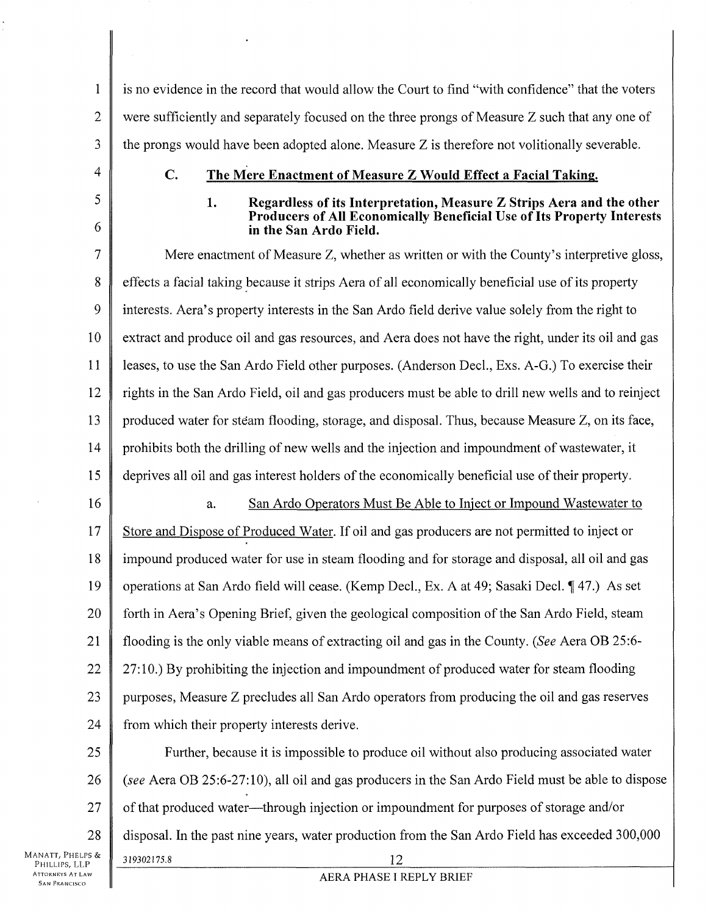1 2 3 is no evidence in the record that would allow the Court to find "with confidence" that the voters were sufficiently and separately focused on the three prongs of Measure Z such that any one of the prongs would have been adopted alone. Measure Z is therefore not volitionally severable.

- 4
- 5 6

# **C. The Mere Enactment of Measure Z Would Effect a Facial Taking.**

### **1. Regardless of its Interpretation, Measure Z Strips Aera and the other Producers of All Economically Beneficial Use of Its Property Interests in the San Ardo Field.**

7 8 9 10 11 12 13 14 15 16 Mere enactment of Measure Z, whether as written or with the County's interpretive gloss, effects a facial taking because it strips Aera of all economically beneficial use of its property interests. Aera's property interests in the San Ardo field derive value solely from the right to extract and produce oil and gas resources, and Aera does not have the right, under its oil and gas leases, to use the San Ardo Field other purposes. (Anderson Decl., Exs. A-G.) To exercise their rights in the San Ardo Field, oil and gas producers must be able to drill new wells and to reinject produced water for steam flooding, storage, and disposal. Thus, because Measure Z, on its face, prohibits both the drilling of new wells and the injection and impoundment of wastewater, it deprives all oil and gas interest holders of the economically beneficial use of their property. a. San Ardo Operators Must Be Able to Inject or Impound Wastewater to

17 18 19 20 21 22 23 24 Store and Dispose of Produced Water. If oil and gas producers are not permitted to inject or impound produced water for use in steam flooding and for storage and disposal, all oil and gas operations at San Ardo field will cease. (Kemp Decl., Ex. A at 49; Sasaki Decl. 147.) As set forth in Aera's Opening Brief, given the geological composition of the San Ardo Field, steam flooding is the only viable means of extracting oil and gas in the County. (*See* Aera OB 25:6 27:10.) By prohibiting the injection and impoundment of produced water for steam flooding purposes, Measure Z precludes all San Ardo operators from producing the oil and gas reserves from which their property interests derive.

25 26 27 28 Further, because it is impossible to produce oil without also producing associated water *(see* Aera OB 25:6-27:10), all oil and gas producers in the San Ardo Field must be able to dispose of that produced water—through injection or impoundment for purposes of storage and/or disposal. In the past nine years, water production from the San Ardo Field has exceeded 300,000 319302175.8 12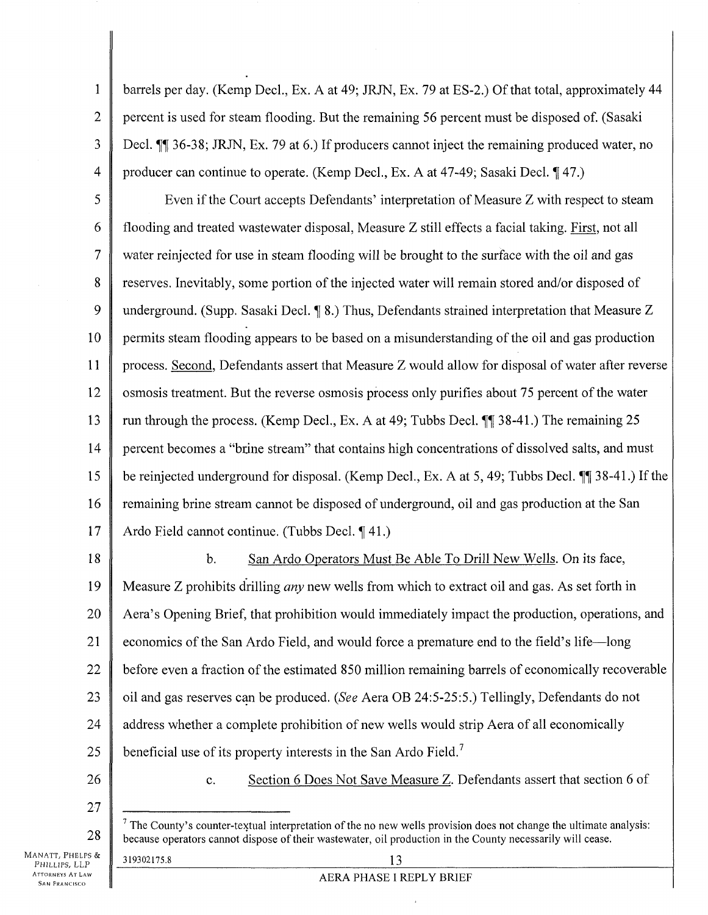**1**  2 3 4 barrels per day. (Kemp Dec!., Ex. A at 49; JRJN, Ex. 79 at ES-2.) Of that total, approximately 44 percent is used for steam flooding. But the remaining 56 percent must be disposed of. (Sasaki Decl. Tfif 36-38; JRJN, Ex. 79 at 6.) If producers cannot inject the remaining produced water, no producer can continue to operate. (Kemp Decl., Ex. A at 47-49; Sasaki Decl. 147.)

5 6 7 8 9 10 11 12 13 14 15 16 17 Even if the Court accepts Defendants' interpretation of Measure Z with respect to steam flooding and treated wastewater disposal, Measure Z still effects a facial taking. First, not all water reinjected for use in steam flooding will be brought to the surface with the oil and gas reserves. Inevitably, some portion of the injected water will remain stored and/or disposed of underground. (Supp. Sasaki Decl.  $\P$  8.) Thus, Defendants strained interpretation that Measure Z permits steam flooding appears to be based on a misunderstanding of the oil and gas production process. Second. Defendants assert that Measure Z would allow for disposal of water after reverse osmosis treatment. But the reverse osmosis process only purifies about 75 percent of the water run through the process. (Kemp Decl., Ex. A at 49; Tubbs Decl.  $\P$  38-41.) The remaining 25 percent becomes a "brine stream" that contains high concentrations of dissolved salts, and must be reinjected underground for disposal. (Kemp Decl., Ex. A at 5, 49; Tubbs Decl. 11 38-41.) If the remaining brine stream cannot be disposed of underground, oil and gas production at the San Ardo Field cannot continue. (Tubbs Decl. 141.)

18 19 20 21 22 23 24 25 26 b. San Ardo Operators Must Be Able To Drill New Wells. On its face, Measure Z prohibits drilling *any* new wells from which to extract oil and gas. As set forth in Aera's Opening Brief, that prohibition would immediately impact the production, operations, and economics of the San Ardo Field, and would force a premature end to the field's life—long before even a fraction of the estimated 850 million remaining barrels of economically recoverable oil and gas reserves can be produced. (*See* Aera OB 24:5-25:5.) Tellingly, Defendants do not address whether a complete prohibition of new wells would strip Aera of all economically beneficial use of its property interests in the San Ardo Field.<sup>7</sup> c. Section 6 Does Not Save Measure Z. Defendants assert that section 6 of

27

28

 $<sup>7</sup>$  The County's counter-textual interpretation of the no new wells provision does not change the ultimate analysis:</sup> because operators cannot dispose of their wastewater, oil production in the County necessarily will cease.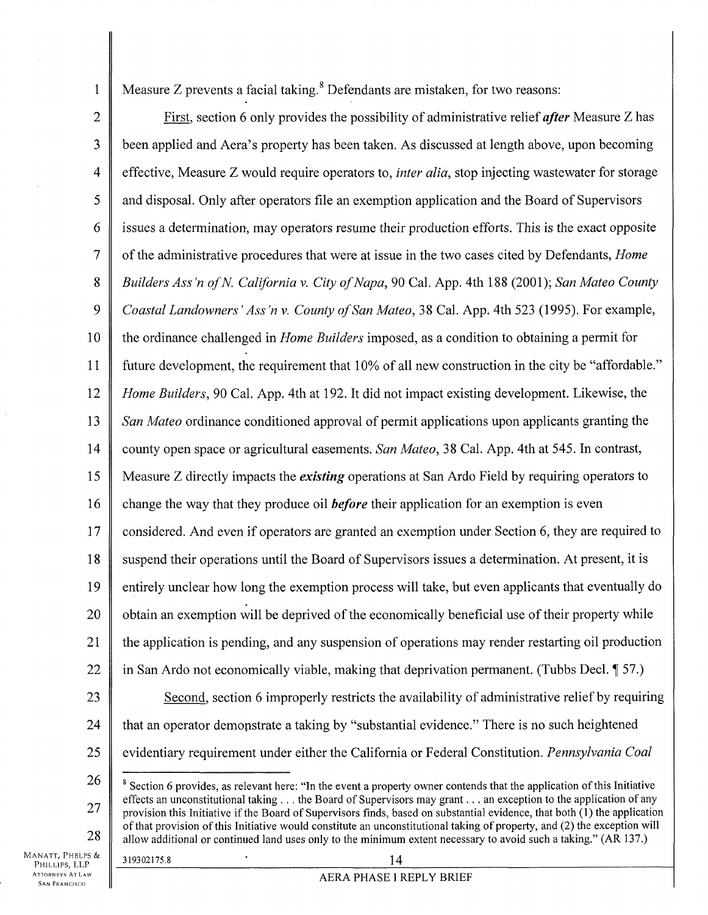**1** 

Measure Z prevents a facial taking.<sup>8</sup> Defendants are mistaken, for two reasons:

2 3 4 5 6 7 8 9 10 **11**  12 13 14 15 16 17 18 19 20 21 22 23 24 25 26 First, section 6 only provides the possibility of administrative relief *after* Measure Z has been applied and Aera's property has been taken. As discussed at length above, upon becoming effective, Measure Z would require operators to, *inter alia,* stop injecting wastewater for storage and disposal. Only after operators file an exemption application and the Board of Supervisors issues a determination, may operators resume their production efforts. This is the exact opposite of the administrative procedures that were at issue in the two cases cited by Defendants, *Home Builders Ass'n ofN California* v. *City of Napa,* 90 Cal. App. 4th 188 (2001); *San Mateo County Coastal Landowners' Ass'n* v. *County of San Mateo,* 38 Cal. App. 4th 523 (1995). For example, the ordinance challenged in *Home Builders* imposed, as a condition to obtaining a permit for future development, the requirement that 10% of all new construction in the city be "affordable." *Home Builders,* 90 Cal. App. 4th at 192. It did not impact existing development. Likewise, the *San Mateo* ordinance conditioned approval of permit applications upon applicants granting the county open space or agricultural easements. *San Mateo,* 38 Cal. App. 4th at 545. In contrast, Measure Z directly impacts the *existing* operations at San Ardo Field by requiring operators to change the way that they produce oil *before* their application for an exemption is even considered. And even if operators are granted an exemption under Section 6, they are required to suspend their operations until the Board of Supervisors issues a determination. At present, it is entirely unclear how long the exemption process will take, but even applicants that eventually do obtain an exemption will be deprived of the economically beneficial use of their property while the application is pending, and any suspension of operations may render restarting oil production in San Ardo not economically viable, making that deprivation permanent. (Tubbs Decl.  $\llbracket$  57.) Second, section 6 improperly restricts the availability of administrative relief by requiring that an operator demonstrate a taking by "substantial evidence." There is no such heightened evidentiary requirement under either the California or Federal Constitution. *Pennsylvania Coal*   $\delta$  Section 6 provides, as relevant here: "In the event a property owner contends that the application of this Initiative effects an unconstitutional taking ... the Board of Supervisors may grant... an exception to the application of any

28

27

provision this Initiative if the Board of Supervisors finds, based on substantial evidence, that both (1) the application of that provision of this Initiative would constitute an unconstitutional taking of property, and (2) the exception will allow additional or continued land uses only to the minimum extent necessary to avoid such a taking." (AR 137.)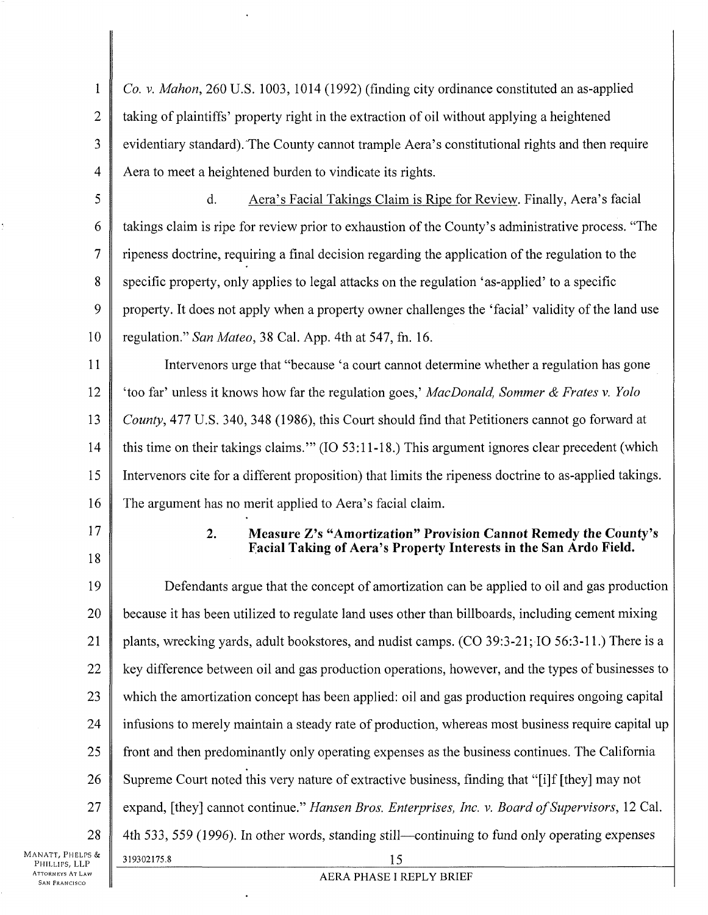1 2 3 4 *Co.* v. *Mahon,* 260 U.S. 1003, 1014 (1992) (finding city ordinance constituted an as-applied taking of plaintiffs' property right in the extraction of oil without applying a heightened evidentiary standard).The County cannot trample Aera's constitutional rights and then require Aera to meet a heightened burden to vindicate its rights.

5

6

7

8

9

10

d. Aera's Facial Takings Claim is Ripe for Review. Finally, Aera's facial takings claim is ripe for review prior to exhaustion of the County's administrative process. "The ripeness doctrine, requiring a final decision regarding the application of the regulation to the specific property, only applies to legal attacks on the regulation 'as-applied' to a specific property. It does not apply when a property owner challenges the 'facial' validity of the land use regulation." *San Mateo,* 38 Cal. App. 4th at 547, fn. 16.

11 12 13 14 15 16 Interveners urge that "because 'a court cannot determine whether a regulation has gone 'too far' unless it knows how far the regulation goes,' *MacDonald, Sommer & Frates* v. *Yolo County, 477 U.S. 340, 348 (1986), this Court should find that Petitioners cannot go forward at* this time on their takings claims.'" (10 53:11-18.) This argument ignores clear precedent (which Intervenors cite for a different proposition) that limits the ripeness doctrine to as-applied takings. The argument has no merit applied to Aera's facial claim.

17 18 **2. Measure Z's "Amortization" Provision Cannot Remedy the County's facial Taking of Aera's Property Interests in the San Ardo Field.** 

19 20 21 22 23 24 25 26 27 28 Defendants argue that the concept of amortization can be applied to oil and gas production because it has been utilized to regulate land uses other than billboards, including cement mixing plants, wrecking yards, adult bookstores, and nudist camps. (CO 39:3-21; 10 56:3-11.) There is a key difference between oil and gas production operations, however, and the types of businesses to which the amortization concept has been applied: oil and gas production requires ongoing capital infusions to merely maintain a steady rate of production, whereas most business require capital up front and then predominantly only operating expenses as the business continues. The California Supreme Court noted this very nature of extractive business, finding that "[i]f [they] may not expand, [they] cannot continue." *Hansen Bros. Enterprises, Inc. v. Board of Supervisors,* 12 Cal. 4th 533, 559 (1996). In other words, standing still—continuing to fund only operating expenses 319302175.8 15